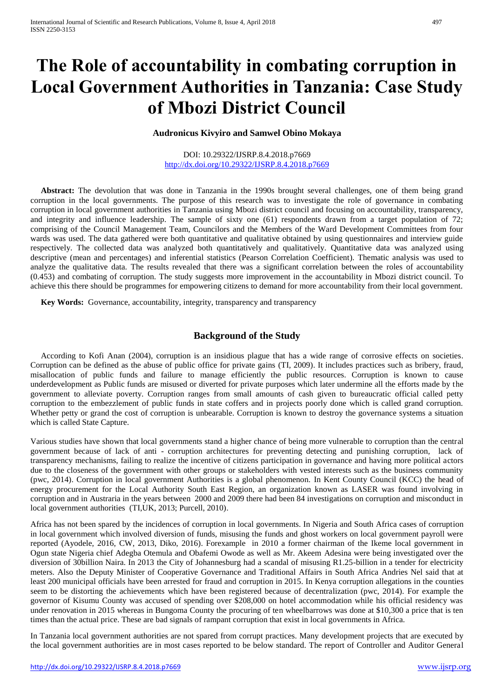# **The Role of accountability in combating corruption in Local Government Authorities in Tanzania: Case Study of Mbozi District Council**

#### **Audronicus Kivyiro and Samwel Obino Mokaya**

#### DOI: 10.29322/IJSRP.8.4.2018.p7669 <http://dx.doi.org/10.29322/IJSRP.8.4.2018.p7669>

 **Abstract:** The devolution that was done in Tanzania in the 1990s brought several challenges, one of them being grand corruption in the local governments. The purpose of this research was to investigate the role of governance in combating corruption in local government authorities in Tanzania using Mbozi district council and focusing on accountability, transparency, and integrity and influence leadership. The sample of sixty one (61) respondents drawn from a target population of 72; comprising of the Council Management Team, Councilors and the Members of the Ward Development Committees from four wards was used. The data gathered were both quantitative and qualitative obtained by using questionnaires and interview guide respectively. The collected data was analyzed both quantitatively and qualitatively. Quantitative data was analyzed using descriptive (mean and percentages) and inferential statistics (Pearson Correlation Coefficient). Thematic analysis was used to analyze the qualitative data. The results revealed that there was a significant correlation between the roles of accountability (0.453) and combating of corruption. The study suggests more improvement in the accountability in Mbozi district council. To achieve this there should be programmes for empowering citizens to demand for more accountability from their local government.

 **Key Words:** Governance, accountability, integrity, transparency and transparency

# **Background of the Study**

 According to Kofi Anan (2004), corruption is an insidious plague that has a wide range of corrosive effects on societies. Corruption can be defined as the abuse of public office for private gains (TI, 2009). It includes practices such as bribery, fraud, misallocation of public funds and failure to manage efficiently the public resources. Corruption is known to cause underdevelopment as Public funds are misused or diverted for private purposes which later undermine all the efforts made by the government to alleviate poverty. Corruption ranges from small amounts of cash given to bureaucratic official called petty corruption to the embezzlement of public funds in state coffers and in projects poorly done which is called grand corruption. Whether petty or grand the cost of corruption is unbearable. Corruption is known to destroy the governance systems a situation which is called State Capture.

Various studies have shown that local governments stand a higher chance of being more vulnerable to corruption than the central government because of lack of anti - corruption architectures for preventing detecting and punishing corruption, lack of transparency mechanisms, failing to realize the incentive of citizens participation in governance and having more political actors due to the closeness of the government with other groups or stakeholders with vested interests such as the business community (pwc, 2014). Corruption in local government Authorities is a global phenomenon. In Kent County Council (KCC) the head of energy procurement for the Local Authority South East Region, an organization known as LASER was found involving in corruption and in Austraria in the years between 2000 and 2009 there had been 84 investigations on corruption and misconduct in local government authorities (TI,UK, 2013; Purcell, 2010).

Africa has not been spared by the incidences of corruption in local governments. In Nigeria and South Africa cases of corruption in local government which involved diversion of funds, misusing the funds and ghost workers on local government payroll were reported (Ayodele, 2016, CW, 2013, Diko, 2016). Forexample in 2010 a former chairman of the Ikeme local government in Ogun state Nigeria chief Adegba Otemula and Obafemi Owode as well as Mr. Akeem Adesina were being investigated over the diversion of 30billion Naira. In 2013 the City of Johannesburg had a scandal of misusing R1.25-billion in a tender for electricity meters. Also the Deputy Minister of Cooperative Governance and Traditional Affairs in South Africa Andries Nel said that at least 200 municipal officials have been arrested for fraud and corruption in 2015. In Kenya corruption allegations in the counties seem to be distorting the achievements which have been registered because of decentralization (pwc, 2014). For example the governor of Kisumu County was accused of spending over \$208,000 on hotel accommodation while his official residency was under renovation in 2015 whereas in Bungoma County the procuring of ten wheelbarrows was done at \$10,300 a price that is ten times than the actual price. These are bad signals of rampant corruption that exist in local governments in Africa.

In Tanzania local government authorities are not spared from corrupt practices. Many development projects that are executed by the local government authorities are in most cases reported to be below standard. The report of Controller and Auditor General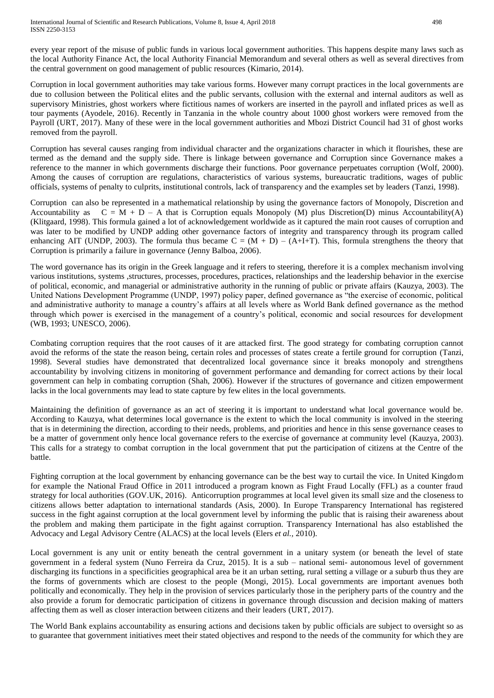every year report of the misuse of public funds in various local government authorities. This happens despite many laws such as the local Authority Finance Act, the local Authority Financial Memorandum and several others as well as several directives from the central government on good management of public resources (Kimario, 2014).

Corruption in local government authorities may take various forms. However many corrupt practices in the local governments are due to collusion between the Political elites and the public servants, collusion with the external and internal auditors as well as supervisory Ministries, ghost workers where fictitious names of workers are inserted in the payroll and inflated prices as well as tour payments (Ayodele, 2016). Recently in Tanzania in the whole country about 1000 ghost workers were removed from the Payroll (URT, 2017). Many of these were in the local government authorities and Mbozi District Council had 31 of ghost works removed from the payroll.

Corruption has several causes ranging from individual character and the organizations character in which it flourishes, these are termed as the demand and the supply side. There is linkage between governance and Corruption since Governance makes a reference to the manner in which governments discharge their functions. Poor governance perpetuates corruption (Wolf, 2000). Among the causes of corruption are regulations, characteristics of various systems, bureaucratic traditions, wages of public officials, systems of penalty to culprits, institutional controls, lack of transparency and the examples set by leaders (Tanzi, 1998).

Corruption can also be represented in a mathematical relationship by using the governance factors of Monopoly, Discretion and Accountability as  $C = M + D - A$  that is Corruption equals Monopoly (M) plus Discretion(D) minus Accountability(A) (Klitgaard, 1998). This formula gained a lot of acknowledgement worldwide as it captured the main root causes of corruption and was later to be modified by UNDP adding other governance factors of integrity and transparency through its program called enhancing AIT (UNDP, 2003). The formula thus became  $C = (M + D) - (A+I+T)$ . This, formula strengthens the theory that Corruption is primarily a failure in governance (Jenny Balboa, 2006).

The word governance has its origin in the Greek language and it refers to steering, therefore it is a complex mechanism involving various institutions, systems ,structures, processes, procedures, practices, relationships and the leadership behavior in the exercise of political, economic, and managerial or administrative authority in the running of public or private affairs (Kauzya, 2003). The United Nations Development Programme (UNDP, 1997) policy paper, defined governance as "the exercise of economic, political and administrative authority to manage a country's affairs at all levels where as World Bank defined governance as the method through which power is exercised in the management of a country's political, economic and social resources for development (WB, 1993; UNESCO, 2006).

Combating corruption requires that the root causes of it are attacked first. The good strategy for combating corruption cannot avoid the reforms of the state the reason being, certain roles and processes of states create a fertile ground for corruption (Tanzi, 1998). Several studies have demonstrated that decentralized local governance since it breaks monopoly and strengthens accountability by involving citizens in monitoring of government performance and demanding for correct actions by their local government can help in combating corruption (Shah, 2006). However if the structures of governance and citizen empowerment lacks in the local governments may lead to state capture by few elites in the local governments.

Maintaining the definition of governance as an act of steering it is important to understand what local governance would be. According to Kauzya, what determines local governance is the extent to which the local community is involved in the steering that is in determining the direction, according to their needs, problems, and priorities and hence in this sense governance ceases to be a matter of government only hence local governance refers to the exercise of governance at community level (Kauzya, 2003). This calls for a strategy to combat corruption in the local government that put the participation of citizens at the Centre of the battle.

Fighting corruption at the local government by enhancing governance can be the best way to curtail the vice. In United Kingdom for example the National Fraud Office in 2011 introduced a program known as Fight Fraud Locally (FFL) as a counter fraud strategy for local authorities (GOV.UK, 2016). Anticorruption programmes at local level given its small size and the closeness to citizens allows better adaptation to international standards (Asis, 2000). In Europe Transparency International has registered success in the fight against corruption at the local government level by informing the public that is raising their awareness about the problem and making them participate in the fight against corruption. Transparency International has also established the Advocacy and Legal Advisory Centre (ALACS) at the local levels (Elers *et al.,* 2010).

Local government is any unit or entity beneath the central government in a unitary system (or beneath the level of state government in a federal system (Nuno Ferreira da Cruz, 2015). It is a sub – national semi- autonomous level of government discharging its functions in a specificities geographical area be it an urban setting, rural setting a village or a suburb thus they are the forms of governments which are closest to the people (Mongi, 2015). Local governments are important avenues both politically and economically. They help in the provision of services particularly those in the periphery parts of the country and the also provide a forum for democratic participation of citizens in governance through discussion and decision making of matters affecting them as well as closer interaction between citizens and their leaders (URT, 2017).

The World Bank explains accountability as ensuring actions and decisions taken by public officials are subject to oversight so as to guarantee that government initiatives meet their stated objectives and respond to the needs of the community for which they are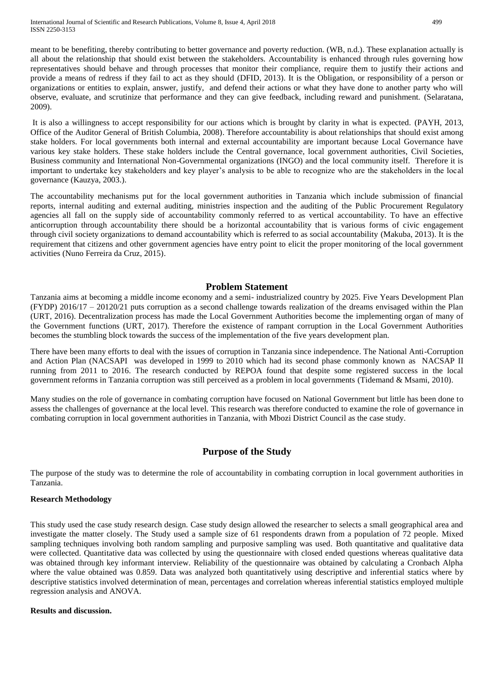International Journal of Scientific and Research Publications, Volume 8, Issue 4, April 2018 499 ISSN 2250-3153

meant to be benefiting, thereby contributing to better governance and poverty reduction. (WB, n.d.). These explanation actually is all about the relationship that should exist between the stakeholders. Accountability is enhanced through rules governing how representatives should behave and through processes that monitor their compliance, require them to justify their actions and provide a means of redress if they fail to act as they should (DFID, 2013). It is the Obligation, or responsibility of a person or organizations or entities to explain, answer, justify, and defend their actions or what they have done to another party who will observe, evaluate, and scrutinize that performance and they can give feedback, including reward and punishment. (Selaratana, 2009).

It is also a willingness to accept responsibility for our actions which is brought by clarity in what is expected. (PAYH, 2013, Office of the Auditor General of British Columbia, 2008). Therefore accountability is about relationships that should exist among stake holders. For local governments both internal and external accountability are important because Local Governance have various key stake holders. These stake holders include the Central governance, local government authorities, Civil Societies, Business community and International Non-Governmental organizations (INGO) and the local community itself. Therefore it is important to undertake key stakeholders and key player's analysis to be able to recognize who are the stakeholders in the local governance (Kauzya, 2003.).

The accountability mechanisms put for the local government authorities in Tanzania which include submission of financial reports, internal auditing and external auditing, ministries inspection and the auditing of the Public Procurement Regulatory agencies all fall on the supply side of accountability commonly referred to as vertical accountability. To have an effective anticorruption through accountability there should be a horizontal accountability that is various forms of civic engagement through civil society organizations to demand accountability which is referred to as social accountability (Makuba, 2013). It is the requirement that citizens and other government agencies have entry point to elicit the proper monitoring of the local government activities (Nuno Ferreira da Cruz, 2015).

#### **Problem Statement**

Tanzania aims at becoming a middle income economy and a semi- industrialized country by 2025. Five Years Development Plan (FYDP) 2016/17 – 20120/21 puts corruption as a second challenge towards realization of the dreams envisaged within the Plan (URT, 2016). Decentralization process has made the Local Government Authorities become the implementing organ of many of the Government functions (URT, 2017). Therefore the existence of rampant corruption in the Local Government Authorities becomes the stumbling block towards the success of the implementation of the five years development plan.

There have been many efforts to deal with the issues of corruption in Tanzania since independence. The National Anti-Corruption and Action Plan (NACSAPI was developed in 1999 to 2010 which had its second phase commonly known as NACSAP II running from 2011 to 2016. The research conducted by REPOA found that despite some registered success in the local government reforms in Tanzania corruption was still perceived as a problem in local governments (Tidemand & Msami, 2010).

Many studies on the role of governance in combating corruption have focused on National Government but little has been done to assess the challenges of governance at the local level. This research was therefore conducted to examine the role of governance in combating corruption in local government authorities in Tanzania, with Mbozi District Council as the case study.

# **Purpose of the Study**

The purpose of the study was to determine the role of accountability in combating corruption in local government authorities in Tanzania.

#### **Research Methodology**

This study used the case study research design. Case study design allowed the researcher to selects a small geographical area and investigate the matter closely. The Study used a sample size of 61 respondents drawn from a population of 72 people. Mixed sampling techniques involving both random sampling and purposive sampling was used. Both quantitative and qualitative data were collected. Quantitative data was collected by using the questionnaire with closed ended questions whereas qualitative data was obtained through key informant interview. Reliability of the questionnaire was obtained by calculating a Cronbach Alpha where the value obtained was 0.859. Data was analyzed both quantitatively using descriptive and inferential statics where by descriptive statistics involved determination of mean, percentages and correlation whereas inferential statistics employed multiple regression analysis and ANOVA.

#### **Results and discussion.**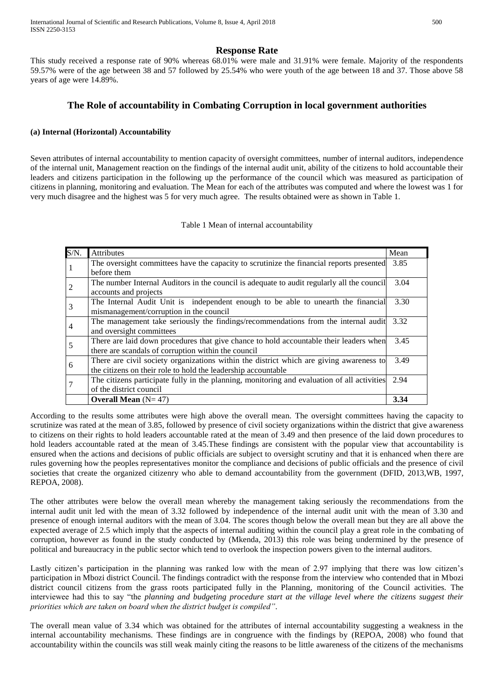# **Response Rate**

This study received a response rate of 90% whereas 68.01% were male and 31.91% were female. Majority of the respondents 59.57% were of the age between 38 and 57 followed by 25.54% who were youth of the age between 18 and 37. Those above 58 years of age were 14.89%.

# **The Role of accountability in Combating Corruption in local government authorities**

# **(a) Internal (Horizontal) Accountability**

Seven attributes of internal accountability to mention capacity of oversight committees, number of internal auditors, independence of the internal unit, Management reaction on the findings of the internal audit unit, ability of the citizens to hold accountable their leaders and citizens participation in the following up the performance of the council which was measured as participation of citizens in planning, monitoring and evaluation. The Mean for each of the attributes was computed and where the lowest was 1 for very much disagree and the highest was 5 for very much agree. The results obtained were as shown in Table 1.

#### Table 1 Mean of internal accountability

| $S/N$ . | Attributes                                                                                  | Mean |
|---------|---------------------------------------------------------------------------------------------|------|
|         | The oversight committees have the capacity to scrutinize the financial reports presented    | 3.85 |
|         | before them                                                                                 |      |
|         | The number Internal Auditors in the council is adequate to audit regularly all the council  | 3.04 |
|         | accounts and projects                                                                       |      |
| 3       | The Internal Audit Unit is independent enough to be able to unearth the financial           | 3.30 |
|         | mismanagement/corruption in the council                                                     |      |
| 4       | The management take seriously the findings/recommendations from the internal audit          | 3.32 |
|         | and oversight committees                                                                    |      |
| 5       | There are laid down procedures that give chance to hold accountable their leaders when      | 3.45 |
|         | there are scandals of corruption within the council                                         |      |
| 6       | There are civil society organizations within the district which are giving awareness to     | 3.49 |
|         | the citizens on their role to hold the leadership accountable                               |      |
|         | The citizens participate fully in the planning, monitoring and evaluation of all activities | 2.94 |
|         | of the district council                                                                     |      |
|         | <b>Overall Mean</b> $(N=47)$                                                                | 3.34 |

According to the results some attributes were high above the overall mean. The oversight committees having the capacity to scrutinize was rated at the mean of 3.85, followed by presence of civil society organizations within the district that give awareness to citizens on their rights to hold leaders accountable rated at the mean of 3.49 and then presence of the laid down procedures to hold leaders accountable rated at the mean of 3.45. These findings are consistent with the popular view that accountability is ensured when the actions and decisions of public officials are subject to oversight scrutiny and that it is enhanced when there are rules governing how the peoples representatives monitor the compliance and decisions of public officials and the presence of civil societies that create the organized citizenry who able to demand accountability from the government (DFID, 2013,WB, 1997, REPOA, 2008).

The other attributes were below the overall mean whereby the management taking seriously the recommendations from the internal audit unit led with the mean of 3.32 followed by independence of the internal audit unit with the mean of 3.30 and presence of enough internal auditors with the mean of 3.04. The scores though below the overall mean but they are all above the expected average of 2.5 which imply that the aspects of internal auditing within the council play a great role in the combating of corruption, however as found in the study conducted by (Mkenda, 2013) this role was being undermined by the presence of political and bureaucracy in the public sector which tend to overlook the inspection powers given to the internal auditors.

Lastly citizen's participation in the planning was ranked low with the mean of 2.97 implying that there was low citizen's participation in Mbozi district Council. The findings contradict with the response from the interview who contended that in Mbozi district council citizens from the grass roots participated fully in the Planning, monitoring of the Council activities. The interviewee had this to say "the *planning and budgeting procedure start at the village level where the citizens suggest their priorities which are taken on board when the district budget is compiled"*.

The overall mean value of 3.34 which was obtained for the attributes of internal accountability suggesting a weakness in the internal accountability mechanisms. These findings are in congruence with the findings by (REPOA, 2008) who found that accountability within the councils was still weak mainly citing the reasons to be little awareness of the citizens of the mechanisms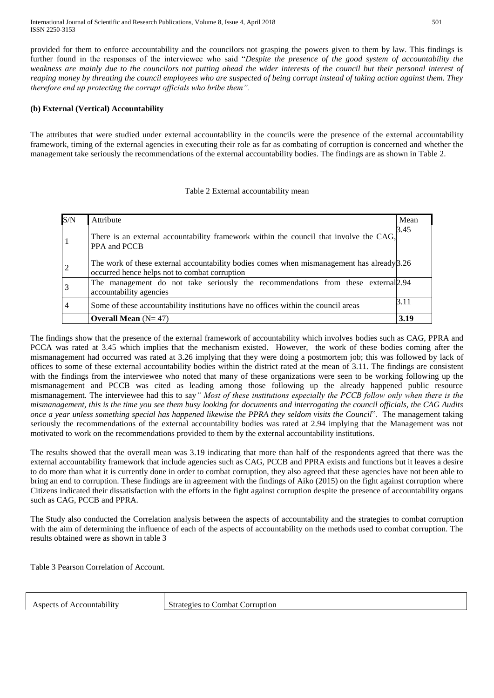International Journal of Scientific and Research Publications, Volume 8, Issue 4, April 2018 501 ISSN 2250-3153

provided for them to enforce accountability and the councilors not grasping the powers given to them by law. This findings is further found in the responses of the interviewee who said "*Despite the presence of the good system of accountability the weakness are mainly due to the councilors not putting ahead the wider interests of the council but their personal interest of reaping money by threating the council employees who are suspected of being corrupt instead of taking action against them. They therefore end up protecting the corrupt officials who bribe them".*

# **(b) External (Vertical) Accountability**

The attributes that were studied under external accountability in the councils were the presence of the external accountability framework, timing of the external agencies in executing their role as far as combating of corruption is concerned and whether the management take seriously the recommendations of the external accountability bodies. The findings are as shown in Table 2.

## Table 2 External accountability mean

| S/N            | Attribute                                                                                                                                     | Mean |
|----------------|-----------------------------------------------------------------------------------------------------------------------------------------------|------|
| 1              | There is an external accountability framework within the council that involve the CAG,<br>PPA and PCCB                                        | 3.45 |
| $\overline{2}$ | The work of these external accountability bodies comes when mismanagement has already $3.26$<br>occurred hence helps not to combat corruption |      |
| $\overline{3}$ | The management do not take seriously the recommendations from these external [2.94]<br>accountability agencies                                |      |
| $\overline{4}$ | Some of these accountability institutions have no offices within the council areas                                                            | 3.11 |
|                | <b>Overall Mean</b> $(N=47)$                                                                                                                  | 3.19 |

The findings show that the presence of the external framework of accountability which involves bodies such as CAG, PPRA and PCCA was rated at 3.45 which implies that the mechanism existed. However, the work of these bodies coming after the mismanagement had occurred was rated at 3.26 implying that they were doing a postmortem job; this was followed by lack of offices to some of these external accountability bodies within the district rated at the mean of 3.11. The findings are consistent with the findings from the interviewee who noted that many of these organizations were seen to be working following up the mismanagement and PCCB was cited as leading among those following up the already happened public resource mismanagement. The interviewee had this to say*" Most of these institutions especially the PCCB follow only when there is the mismanagement, this is the time you see them busy looking for documents and interrogating the council officials, the CAG Audits once a year unless something special has happened likewise the PPRA they seldom visits the Council*". The management taking seriously the recommendations of the external accountability bodies was rated at 2.94 implying that the Management was not motivated to work on the recommendations provided to them by the external accountability institutions.

The results showed that the overall mean was 3.19 indicating that more than half of the respondents agreed that there was the external accountability framework that include agencies such as CAG, PCCB and PPRA exists and functions but it leaves a desire to do more than what it is currently done in order to combat corruption, they also agreed that these agencies have not been able to bring an end to corruption. These findings are in agreement with the findings of Aiko (2015) on the fight against corruption where Citizens indicated their dissatisfaction with the efforts in the fight against corruption despite the presence of accountability organs such as CAG, PCCB and PPRA.

The Study also conducted the Correlation analysis between the aspects of accountability and the strategies to combat corruption with the aim of determining the influence of each of the aspects of accountability on the methods used to combat corruption. The results obtained were as shown in table 3

Table 3 Pearson Correlation of Account.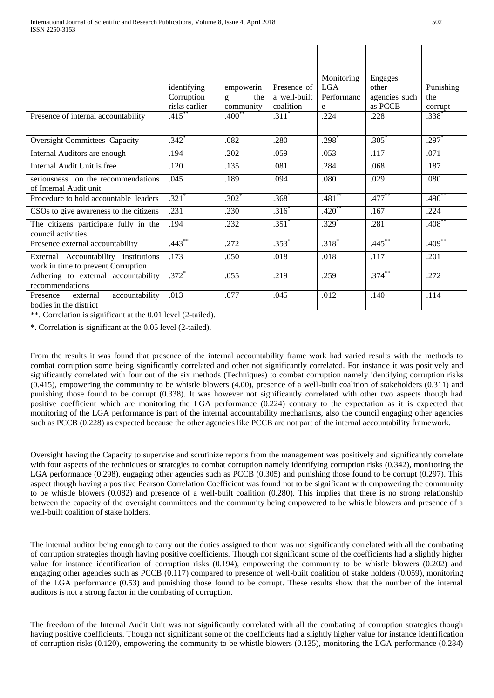|                                                                            | identifying                | empowerin             | Presence of          | Monitoring<br>LGA. | Engages<br>other | Punishing          |
|----------------------------------------------------------------------------|----------------------------|-----------------------|----------------------|--------------------|------------------|--------------------|
|                                                                            | Corruption                 | the<br>$\mathbf{g}$   | a well-built         | Performanc         | agencies such    | the                |
| Presence of internal accountability                                        | risks earlier<br>$.415***$ | community<br>$.400**$ | coalition<br>$.311*$ | e<br>.224          | as PCCB<br>.228  | corrupt<br>$.338*$ |
| <b>Oversight Committees Capacity</b>                                       | $.342*$                    | .082                  | .280                 | $.298*$            | $.305*$          | $.297*$            |
| Internal Auditors are enough                                               | .194                       | .202                  | .059                 | .053               | .117             | .071               |
| Internal Audit Unit is free                                                | .120                       | .135                  | .081                 | .284               | .068             | .187               |
| seriousness on the recommendations<br>of Internal Audit unit               | .045                       | .189                  | .094                 | .080               | .029             | .080               |
| Procedure to hold accountable leaders                                      | $.321*$                    | $.302*$               | $.368*$              | $.481***$          | $.477***$        | $.490**$           |
| CSOs to give awareness to the citizens                                     | .231                       | .230                  | $.316^*$             | $.420^{**}$        | .167             | .224               |
| The citizens participate fully in the<br>council activities                | .194                       | .232                  | $.351*$              | $.329*$            | .281             | $.408^{**}$        |
| Presence external accountability                                           | $.443***$                  | .272                  | $.353*$              | $.318*$            | $.445***$        | $.409***$          |
| External Accountability institutions<br>work in time to prevent Corruption | .173                       | .050                  | .018                 | .018               | .117             | .201               |
| Adhering to external accountability<br>recommendations                     | $.372*$                    | .055                  | .219                 | .259               | $.374***$        | .272               |
| accountability<br>Presence<br>external<br>bodies in the district           | .013                       | .077                  | .045                 | .012               | .140             | .114               |

\*\*. Correlation is significant at the 0.01 level (2-tailed).

\*. Correlation is significant at the 0.05 level (2-tailed).

From the results it was found that presence of the internal accountability frame work had varied results with the methods to combat corruption some being significantly correlated and other not significantly correlated. For instance it was positively and significantly correlated with four out of the six methods (Techniques) to combat corruption namely identifying corruption risks (0.415), empowering the community to be whistle blowers (4.00), presence of a well-built coalition of stakeholders (0.311) and punishing those found to be corrupt (0.338). It was however not significantly correlated with other two aspects though had positive coefficient which are monitoring the LGA performance (0.224) contrary to the expectation as it is expected that monitoring of the LGA performance is part of the internal accountability mechanisms, also the council engaging other agencies such as PCCB (0.228) as expected because the other agencies like PCCB are not part of the internal accountability framework.

Oversight having the Capacity to supervise and scrutinize reports from the management was positively and significantly correlate with four aspects of the techniques or strategies to combat corruption namely identifying corruption risks (0.342), monitoring the LGA performance (0.298), engaging other agencies such as PCCB (0.305) and punishing those found to be corrupt (0.297). This aspect though having a positive Pearson Correlation Coefficient was found not to be significant with empowering the community to be whistle blowers (0.082) and presence of a well-built coalition (0.280). This implies that there is no strong relationship between the capacity of the oversight committees and the community being empowered to be whistle blowers and presence of a well-built coalition of stake holders.

The internal auditor being enough to carry out the duties assigned to them was not significantly correlated with all the combating of corruption strategies though having positive coefficients. Though not significant some of the coefficients had a slightly higher value for instance identification of corruption risks (0.194), empowering the community to be whistle blowers (0.202) and engaging other agencies such as PCCB (0.117) compared to presence of well-built coalition of stake holders (0.059), monitoring of the LGA performance (0.53) and punishing those found to be corrupt. These results show that the number of the internal auditors is not a strong factor in the combating of corruption.

The freedom of the Internal Audit Unit was not significantly correlated with all the combating of corruption strategies though having positive coefficients. Though not significant some of the coefficients had a slightly higher value for instance identification of corruption risks (0.120), empowering the community to be whistle blowers (0.135), monitoring the LGA performance (0.284)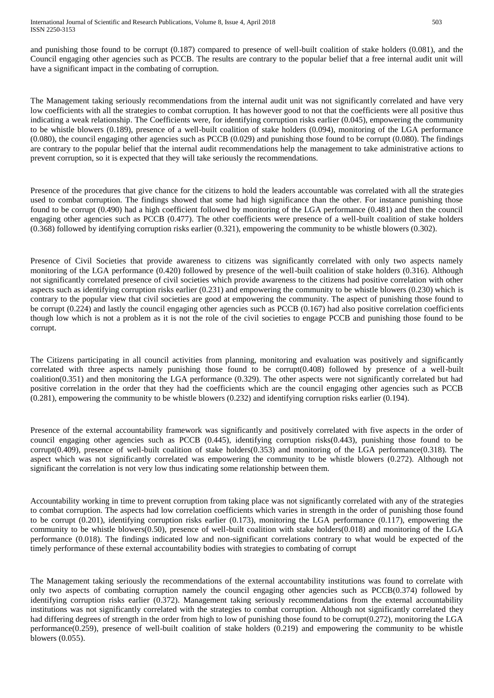and punishing those found to be corrupt (0.187) compared to presence of well-built coalition of stake holders (0.081), and the Council engaging other agencies such as PCCB. The results are contrary to the popular belief that a free internal audit unit will have a significant impact in the combating of corruption.

The Management taking seriously recommendations from the internal audit unit was not significantly correlated and have very low coefficients with all the strategies to combat corruption. It has however good to not that the coefficients were all positive thus indicating a weak relationship. The Coefficients were, for identifying corruption risks earlier (0.045), empowering the community to be whistle blowers (0.189), presence of a well-built coalition of stake holders (0.094), monitoring of the LGA performance (0.080), the council engaging other agencies such as PCCB (0.029) and punishing those found to be corrupt (0.080). The findings are contrary to the popular belief that the internal audit recommendations help the management to take administrative actions to prevent corruption, so it is expected that they will take seriously the recommendations.

Presence of the procedures that give chance for the citizens to hold the leaders accountable was correlated with all the strategies used to combat corruption. The findings showed that some had high significance than the other. For instance punishing those found to be corrupt (0.490) had a high coefficient followed by monitoring of the LGA performance (0.481) and then the council engaging other agencies such as PCCB (0.477). The other coefficients were presence of a well-built coalition of stake holders (0.368) followed by identifying corruption risks earlier (0.321), empowering the community to be whistle blowers (0.302).

Presence of Civil Societies that provide awareness to citizens was significantly correlated with only two aspects namely monitoring of the LGA performance (0.420) followed by presence of the well-built coalition of stake holders (0.316). Although not significantly correlated presence of civil societies which provide awareness to the citizens had positive correlation with other aspects such as identifying corruption risks earlier (0.231) and empowering the community to be whistle blowers (0.230) which is contrary to the popular view that civil societies are good at empowering the community. The aspect of punishing those found to be corrupt (0.224) and lastly the council engaging other agencies such as PCCB (0.167) had also positive correlation coefficients though low which is not a problem as it is not the role of the civil societies to engage PCCB and punishing those found to be corrupt.

The Citizens participating in all council activities from planning, monitoring and evaluation was positively and significantly correlated with three aspects namely punishing those found to be corrupt(0.408) followed by presence of a well-built coalition(0.351) and then monitoring the LGA performance (0.329). The other aspects were not significantly correlated but had positive correlation in the order that they had the coefficients which are the council engaging other agencies such as PCCB (0.281), empowering the community to be whistle blowers (0.232) and identifying corruption risks earlier (0.194).

Presence of the external accountability framework was significantly and positively correlated with five aspects in the order of council engaging other agencies such as PCCB (0.445), identifying corruption risks(0.443), punishing those found to be corrupt(0.409), presence of well-built coalition of stake holders( $0.353$ ) and monitoring of the LGA performance( $0.318$ ). The aspect which was not significantly correlated was empowering the community to be whistle blowers (0.272). Although not significant the correlation is not very low thus indicating some relationship between them.

Accountability working in time to prevent corruption from taking place was not significantly correlated with any of the strategies to combat corruption. The aspects had low correlation coefficients which varies in strength in the order of punishing those found to be corrupt (0.201), identifying corruption risks earlier (0.173), monitoring the LGA performance (0.117), empowering the community to be whistle blowers(0.50), presence of well-built coalition with stake holders(0.018) and monitoring of the LGA performance (0.018). The findings indicated low and non-significant correlations contrary to what would be expected of the timely performance of these external accountability bodies with strategies to combating of corrupt

The Management taking seriously the recommendations of the external accountability institutions was found to correlate with only two aspects of combating corruption namely the council engaging other agencies such as PCCB(0.374) followed by identifying corruption risks earlier (0.372). Management taking seriously recommendations from the external accountability institutions was not significantly correlated with the strategies to combat corruption. Although not significantly correlated they had differing degrees of strength in the order from high to low of punishing those found to be corrupt(0.272), monitoring the LGA performance(0.259), presence of well-built coalition of stake holders (0.219) and empowering the community to be whistle blowers (0.055).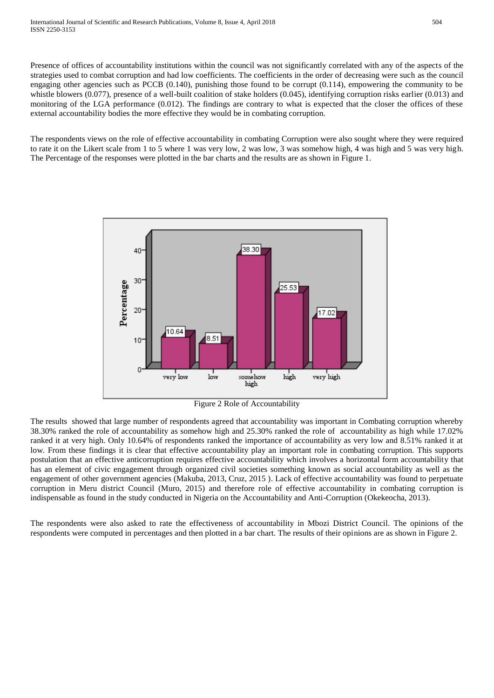Presence of offices of accountability institutions within the council was not significantly correlated with any of the aspects of the strategies used to combat corruption and had low coefficients. The coefficients in the order of decreasing were such as the council engaging other agencies such as PCCB (0.140), punishing those found to be corrupt (0.114), empowering the community to be whistle blowers (0.077), presence of a well-built coalition of stake holders (0.045), identifying corruption risks earlier (0.013) and monitoring of the LGA performance (0.012). The findings are contrary to what is expected that the closer the offices of these external accountability bodies the more effective they would be in combating corruption.

The respondents views on the role of effective accountability in combating Corruption were also sought where they were required to rate it on the Likert scale from 1 to 5 where 1 was very low, 2 was low, 3 was somehow high, 4 was high and 5 was very high. The Percentage of the responses were plotted in the bar charts and the results are as shown in Figure 1.



Figure 2 Role of Accountability

The results showed that large number of respondents agreed that accountability was important in Combating corruption whereby 38.30% ranked the role of accountability as somehow high and 25.30% ranked the role of accountability as high while 17.02% ranked it at very high. Only 10.64% of respondents ranked the importance of accountability as very low and 8.51% ranked it at low. From these findings it is clear that effective accountability play an important role in combating corruption. This supports postulation that an effective anticorruption requires effective accountability which involves a horizontal form accountability that has an element of civic engagement through organized civil societies something known as social accountability as well as the engagement of other government agencies (Makuba, 2013, Cruz, 2015 ). Lack of effective accountability was found to perpetuate corruption in Meru district Council (Muro, 2015) and therefore role of effective accountability in combating corruption is indispensable as found in the study conducted in Nigeria on the Accountability and Anti-Corruption (Okekeocha, 2013).

The respondents were also asked to rate the effectiveness of accountability in Mbozi District Council. The opinions of the respondents were computed in percentages and then plotted in a bar chart. The results of their opinions are as shown in Figure 2.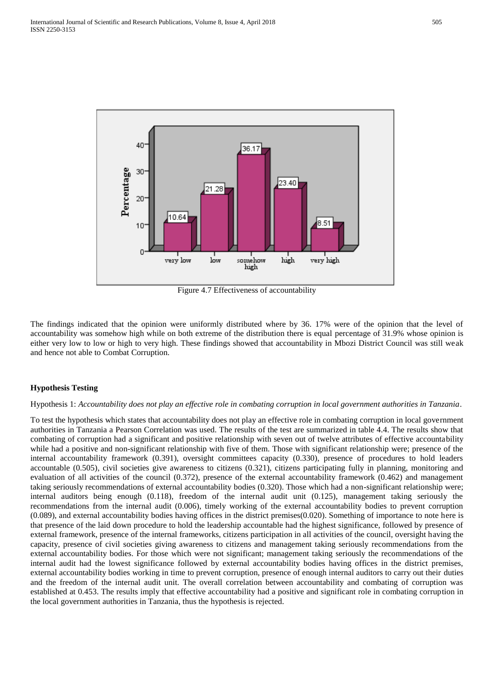

Figure 4.7 Effectiveness of accountability

The findings indicated that the opinion were uniformly distributed where by 36. 17% were of the opinion that the level of accountability was somehow high while on both extreme of the distribution there is equal percentage of 31.9% whose opinion is either very low to low or high to very high. These findings showed that accountability in Mbozi District Council was still weak and hence not able to Combat Corruption.

## **Hypothesis Testing**

#### Hypothesis 1: *Accountability does not play an effective role in combating corruption in local government authorities in Tanzania*.

To test the hypothesis which states that accountability does not play an effective role in combating corruption in local government authorities in Tanzania a Pearson Correlation was used. The results of the test are summarized in table 4.4. The results show that combating of corruption had a significant and positive relationship with seven out of twelve attributes of effective accountability while had a positive and non-significant relationship with five of them. Those with significant relationship were; presence of the internal accountability framework (0.391), oversight committees capacity (0.330), presence of procedures to hold leaders accountable (0.505), civil societies give awareness to citizens (0.321), citizens participating fully in planning, monitoring and evaluation of all activities of the council (0.372), presence of the external accountability framework (0.462) and management taking seriously recommendations of external accountability bodies (0.320). Those which had a non-significant relationship were; internal auditors being enough (0.118), freedom of the internal audit unit (0.125), management taking seriously the recommendations from the internal audit (0.006), timely working of the external accountability bodies to prevent corruption (0.089), and external accountability bodies having offices in the district premises(0.020). Something of importance to note here is that presence of the laid down procedure to hold the leadership accountable had the highest significance, followed by presence of external framework, presence of the internal frameworks, citizens participation in all activities of the council, oversight having the capacity, presence of civil societies giving awareness to citizens and management taking seriously recommendations from the external accountability bodies. For those which were not significant; management taking seriously the recommendations of the internal audit had the lowest significance followed by external accountability bodies having offices in the district premises, external accountability bodies working in time to prevent corruption, presence of enough internal auditors to carry out their duties and the freedom of the internal audit unit. The overall correlation between accountability and combating of corruption was established at 0.453. The results imply that effective accountability had a positive and significant role in combating corruption in the local government authorities in Tanzania, thus the hypothesis is rejected.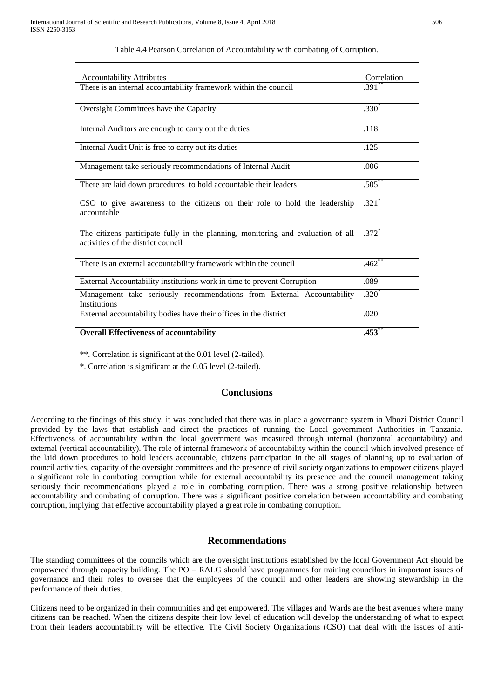| <b>Accountability Attributes</b>                                                                                       | Correlation         |
|------------------------------------------------------------------------------------------------------------------------|---------------------|
| There is an internal accountability framework within the council                                                       | .391'''             |
| Oversight Committees have the Capacity                                                                                 | $.330*$             |
| Internal Auditors are enough to carry out the duties                                                                   | .118                |
| Internal Audit Unit is free to carry out its duties                                                                    | .125                |
| Management take seriously recommendations of Internal Audit                                                            | .006                |
| There are laid down procedures to hold accountable their leaders                                                       | $.505***$           |
| CSO to give awareness to the citizens on their role to hold the leadership<br>accountable                              | $.321$ <sup>*</sup> |
| The citizens participate fully in the planning, monitoring and evaluation of all<br>activities of the district council | $.372*$             |
| There is an external accountability framework within the council                                                       | $.462$ **           |
| External Accountability institutions work in time to prevent Corruption                                                | .089                |
| Management take seriously recommendations from External Accountability<br>Institutions                                 | $.320*$             |
| External accountability bodies have their offices in the district                                                      | .020                |
| <b>Overall Effectiveness of accountability</b>                                                                         | $.453^{**}$         |

#### Table 4.4 Pearson Correlation of Accountability with combating of Corruption.

\*\*. Correlation is significant at the 0.01 level (2-tailed).

\*. Correlation is significant at the 0.05 level (2-tailed).

# **Conclusions**

According to the findings of this study, it was concluded that there was in place a governance system in Mbozi District Council provided by the laws that establish and direct the practices of running the Local government Authorities in Tanzania. Effectiveness of accountability within the local government was measured through internal (horizontal accountability) and external (vertical accountability). The role of internal framework of accountability within the council which involved presence of the laid down procedures to hold leaders accountable, citizens participation in the all stages of planning up to evaluation of council activities, capacity of the oversight committees and the presence of civil society organizations to empower citizens played a significant role in combating corruption while for external accountability its presence and the council management taking seriously their recommendations played a role in combating corruption. There was a strong positive relationship between accountability and combating of corruption. There was a significant positive correlation between accountability and combating corruption, implying that effective accountability played a great role in combating corruption.

# **Recommendations**

The standing committees of the councils which are the oversight institutions established by the local Government Act should be empowered through capacity building. The PO – RALG should have programmes for training councilors in important issues of governance and their roles to oversee that the employees of the council and other leaders are showing stewardship in the performance of their duties.

Citizens need to be organized in their communities and get empowered. The villages and Wards are the best avenues where many citizens can be reached. When the citizens despite their low level of education will develop the understanding of what to expect from their leaders accountability will be effective. The Civil Society Organizations (CSO) that deal with the issues of anti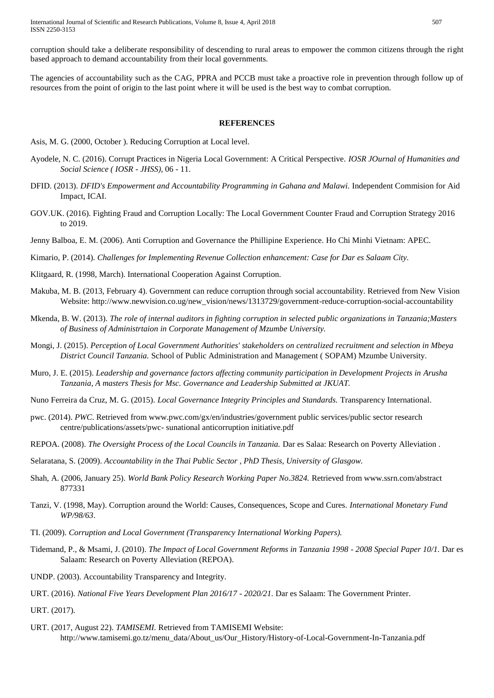International Journal of Scientific and Research Publications, Volume 8, Issue 4, April 2018 507 ISSN 2250-3153

corruption should take a deliberate responsibility of descending to rural areas to empower the common citizens through the right based approach to demand accountability from their local governments.

The agencies of accountability such as the CAG, PPRA and PCCB must take a proactive role in prevention through follow up of resources from the point of origin to the last point where it will be used is the best way to combat corruption.

#### **REFERENCES**

- Asis, M. G. (2000, October ). Reducing Corruption at Local level.
- Ayodele, N. C. (2016). Corrupt Practices in Nigeria Local Government: A Critical Perspective. *IOSR JOurnal of Humanities and Social Science ( IOSR - JHSS)*, 06 - 11.
- DFID. (2013). *DFID's Empowerment and Accountability Programming in Gahana and Malawi.* Independent Commision for Aid Impact, ICAI.
- GOV.UK. (2016). Fighting Fraud and Corruption Locally: The Local Government Counter Fraud and Corruption Strategy 2016 to 2019.
- Jenny Balboa, E. M. (2006). Anti Corruption and Governance the Phillipine Experience. Ho Chi Minhi Vietnam: APEC.

Kimario, P. (2014). *Challenges for Implementing Revenue Collection enhancement: Case for Dar es Salaam City.*

- Klitgaard, R. (1998, March). International Cooperation Against Corruption.
- Makuba, M. B. (2013, February 4). Government can reduce corruption through social accountability. Retrieved from New Vision Website: http://www.newvision.co.ug/new\_vision/news/1313729/government-reduce-corruption-social-accountability
- Mkenda, B. W. (2013). *The role of internal auditors in fighting corruption in selected public organizations in Tanzania;Masters of Business of Administrtaion in Corporate Management of Mzumbe University.*
- Mongi, J. (2015). *Perception of Local Government Authorities' stakeholders on centralized recruitment and selection in Mbeya District Council Tanzania.* School of Public Administration and Management ( SOPAM) Mzumbe University.
- Muro, J. E. (2015). *Leadership and governance factors affecting community participation in Development Projects in Arusha Tanzania, A masters Thesis for Msc. Governance and Leadership Submitted at JKUAT.*
- Nuno Ferreira da Cruz, M. G. (2015). *Local Governance Integrity Principles and Standards.* Transparency International.
- pwc. (2014). *PWC*. Retrieved from www.pwc.com/gx/en/industries/government public services/public sector research centre/publications/assets/pwc- sunational anticorruption initiative.pdf
- REPOA. (2008). *The Oversight Process of the Local Councils in Tanzania.* Dar es Salaa: Research on Poverty Alleviation .

Selaratana, S. (2009). *Accountability in the Thai Public Sector , PhD Thesis, University of Glasgow.*

- Shah, A. (2006, January 25). *World Bank Policy Research Working Paper No.3824.* Retrieved from www.ssrn.com/abstract 877331
- Tanzi, V. (1998, May). Corruption around the World: Causes, Consequences, Scope and Cures. *International Monetary Fund WP/98/63*.
- TI. (2009). *Corruption and Local Government (Transparency International Working Papers).*
- Tidemand, P., & Msami, J. (2010). *The Impact of Local Government Reforms in Tanzania 1998 - 2008 Special Paper 10/1.* Dar es Salaam: Research on Poverty Alleviation (REPOA).
- UNDP. (2003). Accountability Transparency and Integrity.
- URT. (2016). *National Five Years Development Plan 2016/17 - 2020/21.* Dar es Salaam: The Government Printer.

URT. (2017).

URT. (2017, August 22). *TAMISEMI.* Retrieved from TAMISEMI Website: http://www.tamisemi.go.tz/menu\_data/About\_us/Our\_History/History-of-Local-Government-In-Tanzania.pdf